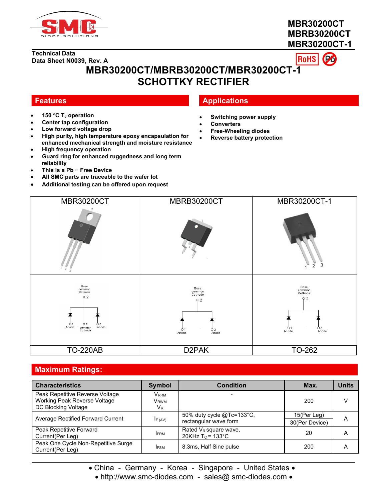

# **MBR30200CT MBRB30200CT MBR30200CT-1**



# **MBR30200CT/MBRB30200CT/MBR30200CT-1 SCHOTTKY RECTIFIER**

- **150 C T<sup>J</sup> operation**
- **Center tap configuration**
- **Low forward voltage drop**
- **High purity, high temperature epoxy encapsulation for enhanced mechanical strength and moisture resistance**
- $\overline{\phantom{a}}$ **High frequency operation**
- **Guard ring for enhanced ruggedness and long term reliability**
- **This is a Pb − Free Device**
- **All SMC parts are traceable to the wafer lot**
- **Additional testing can be offered upon request**

# **Features Applications**

- **Switching power supply**
- **Converters**
- **Free-Wheeling diodes**
- **Reverse battery protection**



## **Maximum Ratings:**

| <b>Characteristics</b>                                                                 | Symbol                              | <b>Condition</b>                                   | Max.                          | <b>Units</b> |
|----------------------------------------------------------------------------------------|-------------------------------------|----------------------------------------------------|-------------------------------|--------------|
| Peak Repetitive Reverse Voltage<br>Working Peak Reverse Voltage<br>DC Blocking Voltage | Vrrm<br>V <sub>RWM</sub><br>$V_{R}$ |                                                    | 200                           | v            |
| Average Rectified Forward Current                                                      | IF (AV)                             | 50% duty cycle @Tc=133°C,<br>rectangular wave form | 15(Per Leg)<br>30(Per Device) | A            |
| Peak Repetitive Forward<br>Current(Per Leg)                                            | <b>IFRM</b>                         | Rated $V_R$ square wave,<br>20KHz $T_c$ = 133°C    | 20                            | A            |
| Peak One Cycle Non-Repetitive Surge<br>Current(Per Leg)                                | <b>IFSM</b>                         | 8.3ms, Half Sine pulse                             | 200                           | A            |

• China - Germany - Korea - Singapore - United States •

• http://www.smc-diodes.com - sales@ smc-diodes.com •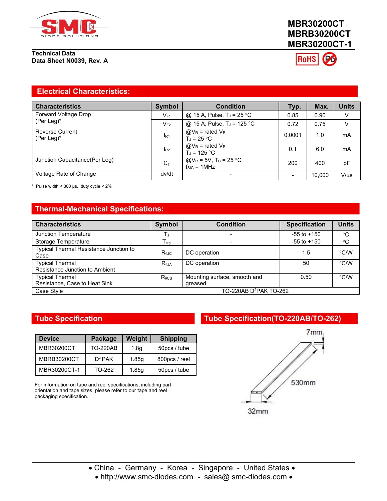

# **MBR30200CT MBRB30200CT MBR30200CT-1**

**RoHS** 

#### **Electrical Characteristics:**

| <b>Characteristics</b>                  | <b>Symbol</b>  | <b>Condition</b>                                                 | Typ.   | Max.   | <b>Units</b> |
|-----------------------------------------|----------------|------------------------------------------------------------------|--------|--------|--------------|
| Forward Voltage Drop                    | $V_{F1}$       | @ 15 A, Pulse, $T_J = 25$ °C                                     | 0.85   | 0.90   | V            |
| (Per Leg) $*$                           | $V_{F2}$       | @ 15 A, Pulse, T <sub>J</sub> = 125 °C                           | 0.72   | 0.75   | V            |
| <b>Reverse Current</b><br>(Per Leg) $*$ | $I_{R1}$       | $@V_R$ = rated $V_R$<br>T.⊨ 25 °C.                               | 0.0001 | 1.0    | mA           |
|                                         | R <sub>2</sub> | $@V_R$ = rated $V_R$<br>T.⊨ 125 °C                               | 0.1    | 6.0    | mA           |
| Junction Capacitance(Per Leg)           | $C_{\text{t}}$ | $@V_R = 5V$ , T <sub>C</sub> = 25 °C<br>$f_{\text{SIG}} = 1$ MHz | 200    | 400    | рF           |
| Voltage Rate of Change                  | dv/dt          |                                                                  |        | 10.000 | $V/\mu s$    |

\* Pulse width <  $300 \text{ }\mu\text{s}$ , duty cycle <  $2\%$ 

## **Thermal-Mechanical Specifications:**

| <b>Characteristics</b>                                   | Symbol           | <b>Condition</b>                        | <b>Specification</b> | <b>Units</b> |
|----------------------------------------------------------|------------------|-----------------------------------------|----------------------|--------------|
| Junction Temperature                                     |                  |                                         | $-55$ to $+150$      | $^{\circ}C$  |
| Storage Temperature                                      | $I_{\text{stq}}$ |                                         | $-55$ to $+150$      | $^{\circ}C$  |
| Typical Thermal Resistance Junction to<br>Case           | <b>Rejc</b>      | DC operation                            | 1.5                  | °C/W         |
| <b>Typical Thermal</b><br>Resistance Junction to Ambient | $R_{\theta$ JA   | DC operation                            | 50                   | °C/W         |
| <b>Typical Thermal</b><br>Resistance, Case to Heat Sink  | $R_{\theta CS}$  | Mounting surface, smooth and<br>greased | 0.50                 | °C/W         |
| Case Style                                               |                  | TO-220AB D <sup>2</sup> PAK TO-262      |                      |              |

| <b>Device</b>      | Package         | Weight           | <b>Shipping</b> |
|--------------------|-----------------|------------------|-----------------|
| MBR30200CT         | <b>TO-220AB</b> | 1.8 <sub>q</sub> | 50pcs / tube    |
| <b>MBRB30200CT</b> | $D^2$ PAK       | 1.85q            | 800pcs / reel   |
| MBR30200CT-1       | TO-262          | 1.85q            | 50pcs / tube    |

For information on tape and reel specifications, including part orientation and tape sizes, please refer to our tape and reel packaging specification.

## **Tube Specification Tube Specification(TO-220AB/TO-262)**

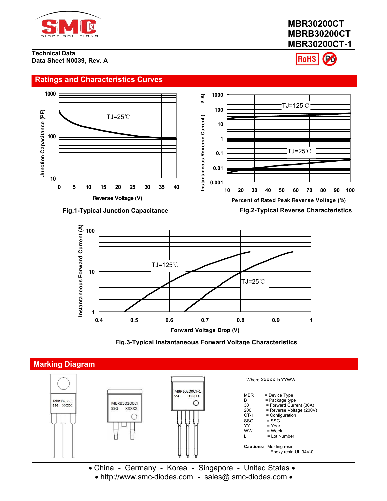

# **MBR30200CT MBRB30200CT MBR30200CT-1**

**RoHS** 





#### **Fig.3-Typical Instantaneous Forward Voltage Characteristics**



 China - Germany - Korea - Singapore - United States • http://www.smc-diodes.com - sales@ smc-diodes.com •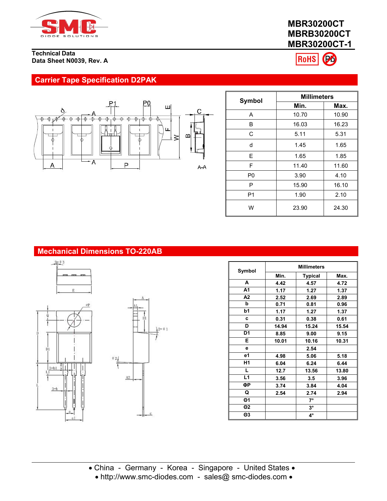

# **MBR30200CT MBRB30200CT MBR30200CT-1**



# **Carrier Tape Specification D2PAK**



|                |       | <b>Millimeters</b> |  |  |
|----------------|-------|--------------------|--|--|
| Symbol         | Min.  | Max.               |  |  |
| A              | 10.70 | 10.90              |  |  |
| В              | 16.03 | 16.23              |  |  |
| C              | 5.11  | 5.31               |  |  |
| d              | 1.45  | 1.65               |  |  |
| E              | 1.65  | 1.85               |  |  |
| F              | 11.40 | 11.60              |  |  |
| P <sub>0</sub> | 3.90  | 4.10               |  |  |
| P              | 15.90 | 16.10              |  |  |
| P <sub>1</sub> | 1.90  | 2.10               |  |  |
| W              | 23.90 | 24.30              |  |  |

# **Mechanical Dimensions TO-220AB**







| Symbol         | <b>Millimeters</b> |                |       |  |
|----------------|--------------------|----------------|-------|--|
|                | Min.               | <b>Typical</b> | Max.  |  |
| A              | 4.42               | 4.57           | 4.72  |  |
| A <sub>1</sub> | 1.17               | 1.27           | 1.37  |  |
| A2             | 2.52               | 2.69           | 2.89  |  |
| b              | 0.71               | 0.81           | 0.96  |  |
| b1             | 1.17               | 1.27           | 1.37  |  |
| c              | 0.31               | 0.38           | 0.61  |  |
| D              | 14.94              | 15.24          | 15.54 |  |
| D <sub>1</sub> | 8.85               | 9.00           | 9.15  |  |
| E.             | 10.01              | 10.16          | 10.31 |  |
| е              |                    | 2.54           |       |  |
| e1             | 4.98               | 5.06           | 5.18  |  |
| H1             | 6.04               | 6.24           | 6.44  |  |
| L.             | 12.7               | 13.56          | 13.80 |  |
| L1             | 3.56               | 3.5            | 3.96  |  |
| ФР             | 3.74               | 3.84           | 4.04  |  |
| Q              | 2.54               | 2.74           | 2.94  |  |
| $\Theta$ 1     |                    | $7^\circ$      |       |  |
| $\Theta$ 2     |                    | $3^\circ$      |       |  |
| $\Theta$ 3     |                    | 4°             |       |  |
|                |                    |                |       |  |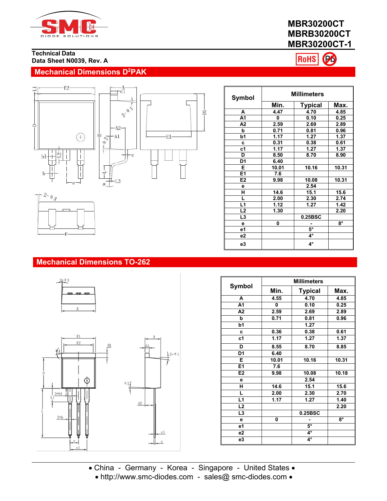

# **MBR30200CT MBRB30200CT MBR30200CT-1**

Po **RoHS** 

## **Technical Data Data Sheet N0039, Rev. A**

# **Mechanical Dimensions D<sup>2</sup>PAK**





| <b>Symbol</b>  | <b>Millimeters</b> |                |             |  |
|----------------|--------------------|----------------|-------------|--|
|                | Min.               | <b>Typical</b> | Max.        |  |
| A              | 4.47               | 4.70           | 4.85        |  |
| A1             | 0                  | 0.10           | 0.25        |  |
| A <sub>2</sub> | 2.59               | 2.69           | 2.89        |  |
| b              | 0.71               | 0.81           | 0.96        |  |
| b1             | 1.17               | 1.27           | 1.37        |  |
| c              | 0.31               | 0.38           | 0.61        |  |
| c1             | 1.17               | 1.27           | 1.37        |  |
| D              | 8.50               | 8.70           | 8.90        |  |
| D1             | 6.40               |                |             |  |
| Е              | 10.01              | 10.16          | 10.31       |  |
| E1             | 7.6                |                |             |  |
| E <sub>2</sub> | 9.98               | 10.08          | 10.31       |  |
| е              |                    | 2.54           |             |  |
| н              | 14.6               | 15.1           | 15.6        |  |
| L              | 2.00               | 2.30           | 2.74        |  |
| L1             | 1.12               | 1.27           | 1.42        |  |
| L2             | 1.30               |                | 2.20        |  |
| L3             |                    | 0.25BSC        |             |  |
| е              | 0                  |                | $8^{\circ}$ |  |
| <b>e1</b>      |                    | $5^\circ$      |             |  |
| e2             |                    | 4°             |             |  |
| e3             |                    | 4°             |             |  |

# $-2 - \theta_3$

# **Mechanical Dimensions TO-262**





|                | <b>Millimeters</b> |                |       |  |  |
|----------------|--------------------|----------------|-------|--|--|
| <b>Symbol</b>  | Min.               | <b>Typical</b> | Max.  |  |  |
| A              | 4.55               | 4.70           | 4.85  |  |  |
| A1             | 0                  | 0.10           | 0.25  |  |  |
| A2             | 2.59               | 2.69           | 2.89  |  |  |
| b              | 0.71               | 0.81           | 0.96  |  |  |
| b1             |                    | 1.27           |       |  |  |
| C              | 0.36               | 0.38           | 0.61  |  |  |
| c1             | 1.17               | 1.27           | 1.37  |  |  |
| D              | 8.55               | 8.70           | 8.85  |  |  |
| D <sub>1</sub> | 6.40               |                |       |  |  |
| Е              | 10.01              | 10.16          | 10.31 |  |  |
| E1             | 7.6                |                |       |  |  |
| E2             | 9.98               | 10.08          | 10.18 |  |  |
| е              |                    | 2.54           |       |  |  |
| н              | 14.6               | 15.1           | 15.6  |  |  |
| L              | 2.00               | 2.30           | 2.70  |  |  |
| L1             | 1.17               | 1.27           | 1.40  |  |  |
| L2             |                    |                | 2.20  |  |  |
| L <sub>3</sub> |                    | 0.25BSC        |       |  |  |
| е              | 0                  | ۰              | 8°    |  |  |
| e1             |                    | $5^\circ$      |       |  |  |
| e2             |                    | 4°             |       |  |  |
| e3             |                    | 4°             |       |  |  |

 China - Germany - Korea - Singapore - United States • http://www.smc-diodes.com - sales@ smc-diodes.com •